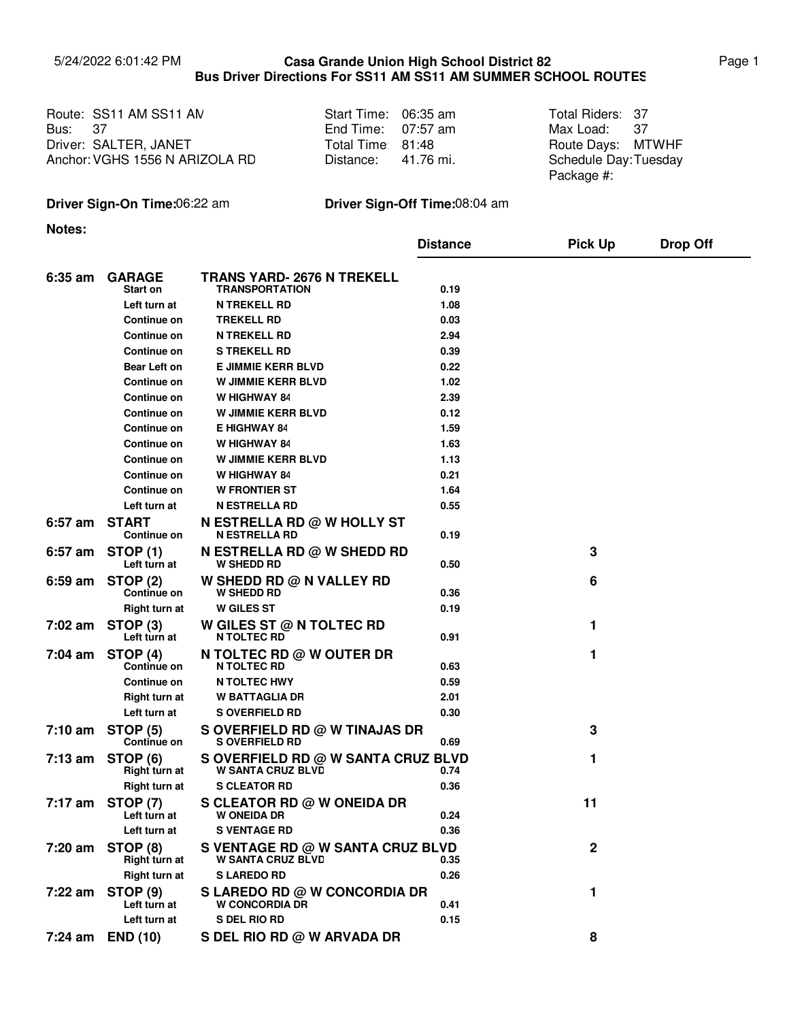## 5/24/2022 6:01:42 PM Page 1 **Casa Grande Union High School District 82 Bus Driver Directions For SS11 AM SS11 AM SUMMER SCHOOL ROUTES**

Route: SS11 AM SS11 AM Note that Start Time: 06:35 am Note Total Riders: Bus: Driver: SALTER, JANET Total Time: 81:48 Route Days: Anchor: VGHS 1556 N ARIZOLA RD 37

| Start Time: | 06:35 am  |
|-------------|-----------|
| End Time:   | 07:57 am  |
| Total Time: | 81:48     |
| Distance:   | 41.76 mi. |

Max Load: Total Riders: 37 37 Route Days: MTWHF Schedule Day: Tuesday Package #:

## **Driver Sign-On Time:**06:22 am **Driver Sign-Off Time:**08:04 am

**Notes:**

|                   |                                       |                                                                | <b>Distance</b> | <b>Pick Up</b> | <b>Drop Off</b> |
|-------------------|---------------------------------------|----------------------------------------------------------------|-----------------|----------------|-----------------|
| 6:35 am           | <b>GARAGE</b><br><b>Start on</b>      | <b>TRANS YARD- 2676 N TREKELL</b><br><b>TRANSPORTATION</b>     | 0.19            |                |                 |
|                   | Left turn at                          | <b>N TREKELL RD</b>                                            | 1.08            |                |                 |
|                   | <b>Continue on</b>                    | <b>TREKELL RD</b>                                              | 0.03            |                |                 |
|                   | <b>Continue on</b>                    | <b>N TREKELL RD</b>                                            | 2.94            |                |                 |
|                   | <b>Continue on</b>                    | <b>S TREKELL RD</b>                                            | 0.39            |                |                 |
|                   | <b>Bear Left on</b>                   | <b>E JIMMIE KERR BLVD</b>                                      | 0.22            |                |                 |
|                   | <b>Continue on</b>                    | <b>W JIMMIE KERR BLVD</b>                                      | 1.02            |                |                 |
|                   | <b>Continue on</b>                    | W HIGHWAY 84                                                   | 2.39            |                |                 |
|                   | Continue on                           | <b>W JIMMIE KERR BLVD</b>                                      | 0.12            |                |                 |
|                   | <b>Continue on</b>                    | <b>E HIGHWAY 84</b>                                            | 1.59            |                |                 |
|                   | <b>Continue on</b>                    | W HIGHWAY 84                                                   | 1.63            |                |                 |
|                   | Continue on                           | <b>W JIMMIE KERR BLVD</b>                                      | 1.13            |                |                 |
|                   | <b>Continue on</b>                    | W HIGHWAY 84                                                   | 0.21            |                |                 |
|                   | <b>Continue on</b>                    | <b>W FRONTIER ST</b>                                           | 1.64            |                |                 |
|                   | Left turn at                          | <b>N ESTRELLA RD</b>                                           | 0.55            |                |                 |
| 6:57 am           | <b>START</b><br>Continue on           | <b>N ESTRELLA RD @ W HOLLY ST</b><br><b>N ESTRELLA RD</b>      | 0.19            |                |                 |
| $6:57$ am         | <b>STOP (1)</b><br>Left turn at       | <b>N ESTRELLA RD @ W SHEDD RD</b><br><b>W SHEDD RD</b>         | 0.50            | 3              |                 |
| $6:59$ am         | <b>STOP (2)</b><br>Continue on        | W SHEDD RD @ N VALLEY RD<br><b>W SHEDD RD</b>                  | 0.36            | 6              |                 |
|                   | Right turn at                         | <b>W</b> GILES ST                                              | 0.19            |                |                 |
| $7:02$ am         | STOP <sub>(3)</sub><br>Left turn at   | W GILES ST $@$ N TOLTEC RD<br><b>N TOLTEC RD</b>               | 0.91            | 1              |                 |
| $7:04$ am         | <b>STOP (4)</b><br>Continue on        | N TOLTEC RD $@$ W OUTER DR<br><b>N TOLTEC RD</b>               | 0.63            | 1              |                 |
|                   | <b>Continue on</b>                    | <b>N TOLTEC HWY</b>                                            | 0.59            |                |                 |
|                   | <b>Right turn at</b>                  | <b>W BATTAGLIA DR</b>                                          | 2.01            |                |                 |
|                   | Left turn at                          | <b>S OVERFIELD RD</b>                                          | 0.30            |                |                 |
| $7:10 \text{ am}$ | <b>STOP (5)</b><br><b>Continue on</b> | S OVERFIELD RD @ W TINAJAS DR<br><b>S OVERFIELD RD</b>         | 0.69            | 3              |                 |
| $7:13$ am         | STOP (6)<br>Right turn at             | S OVERFIELD RD @ W SANTA CRUZ BLVD<br><b>W SANTA CRUZ BLVD</b> | 0.74            | 1              |                 |
|                   | Right turn at                         | <b>S CLEATOR RD</b>                                            | 0.36            |                |                 |
| 7:17 am           | <b>STOP (7)</b><br>Left turn at       | <b>S CLEATOR RD @ W ONEIDA DR</b><br><b>W ONEIDA DR</b>        | 0.24            | 11             |                 |
|                   | Left turn at                          | <b>S VENTAGE RD</b>                                            | 0.36            |                |                 |
| 7:20 am           | <b>STOP (8)</b><br>Right turn at      | S VENTAGE RD @ W SANTA CRUZ BLVD<br><b>W SANTA CRUZ BLVD</b>   | 0.35            | 2              |                 |
|                   | <b>Right turn at</b>                  | <b>S LAREDO RD</b>                                             | 0.26            |                |                 |
| 7:22 am           | <b>STOP (9)</b><br>Left turn at       | S LAREDO RD @ W CONCORDIA DR<br><b>W CONCORDIA DR</b>          | 0.41            | 1              |                 |
|                   | Left turn at                          | S DEL RIO RD                                                   | 0.15            |                |                 |
|                   | 7:24 am END (10)                      | S DEL RIO RD @ W ARVADA DR                                     |                 | 8              |                 |